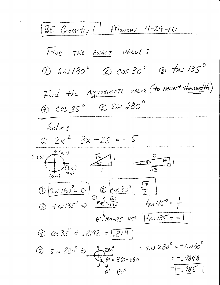BE-Geometry / Monday 11-29-10 FIND THE EXACT VALUE:  $\omega$  SiN 180°  $\omega$  COS 30°  $\omega$  tan 135° Find the MOGraximate value (to Nearest thousandth)  $\bigcirc$   $cos35^{\circ}$   $sin380^{\circ}$  $Solve:$  $2x^2-3x-25=-5$ (-1,0)  $\frac{f(c,1)}{f(c,0)}$   $\frac{f(c,1)}{f(c,1)}$   $\frac{f(c,1)}{f(c,1)}$   $\frac{f(c,1)}{f(c,1)}$  $05/180^{\circ} = 0$ <br>  $05/180^{\circ} = 0$ <br>  $05/180^{\circ} = 0$ <br>  $05/180^{\circ} = 1$ <br>  $05/180^{\circ} = 1$  $\theta' = 180 - 135 = 45^{\circ}$   $\sqrt{70} = 1$  $\circled{D}$  cos 35<sup>°</sup> =  $.8192 = 1.819$ (5)  $sin 280^\circ = \frac{1}{10^\circ} = 360-280$  :  $sin 280^\circ = -5.180^\circ$  $=$  - 985  $A' = A_0^{\circ}$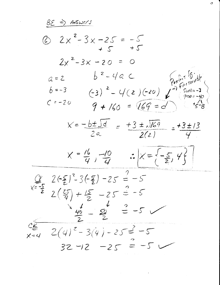$BE \Rightarrow Answer$ 6  $2x^2-3x-25=-5$  $+5$  +5  $2x^2-3x-20 = 0$  $6^{2}-4a$  <br>
(-3)<sup>2</sup> - 4(2)(-20)  $\int_{0}^{2\pi}F_{\text{e}}^{i\pi f}F_{\text{e}}^{i\pi f}F_{\text{e}}^{i\pi f}F_{\text{e}}^{i\pi f}F_{\text{e}}^{i\pi f}F_{\text{e}}^{i\pi f}F_{\text{e}}^{i\pi f}F_{\text{e}}^{i\pi f}F_{\text{e}}^{i\pi f}F_{\text{e}}^{i\pi f}F_{\text{e}}^{i\pi f}F_{\text{e}}^{i\pi f}F_{\text{e}}^{i\pi f}F_{\text{e}}^{i\$  $a = 2$  $b = -3$  $C = -20$  $9 + 160 = 169 = 7$  $x=-\frac{b\pm\sqrt{d}}{2a}=\frac{+3\pm\sqrt{169}}{2(2)}=\frac{+3\pm13}{4}$  $X = \frac{16}{4}, \frac{-10}{4}$   $\therefore X = \left\{-\frac{5}{2}, 4\right\}$  $Q_2$   $2(-5)^2 - 3(-5) - 25 = -5$  $x=\frac{-5}{2}$  $2(\frac{25}{9}) + \frac{15}{2} - 25 = -5$  $\frac{1}{2}$   $\frac{1}{2}$   $\frac{1}{2}$   $\frac{1}{2}$   $\frac{1}{2}$   $\frac{1}{2}$  $\frac{c_{\epsilon}}{x_{\epsilon-1}}$   $2(4)^{2}-3(4)-25=$  -5  $32 - 12 - 25 = -5$ 

Ω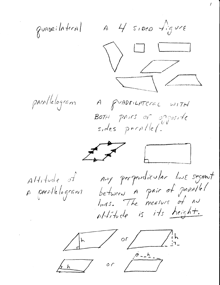$4451000$  figure guapeilateral  $\bigvee$ para/lelogram A gUADRILATERAL WITH BOTH pairs of opposite sides printle(.  $\frac{1}{2}$ Any perpendicular line segment  $A$ Hitude of between A pair of parallel A parallelogram altitude is its height.  $\sqrt{\frac{h}{\cdot 1}}$  or  $\sqrt{\frac{h}{\cdot 1}}$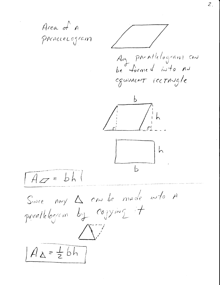Area of A PACALLELOGRAM Awy parallelogram can be formed into AN equivalent rectingle  $\overline{h}$  $\mathsf b$  $A_{\mathscr{L}}=bh$ Since my  $\Delta$  and be made into A pprallelogram by cogying it  $A_{\Delta}=\frac{1}{2}bh$ 

 $\mathcal{Z}$ .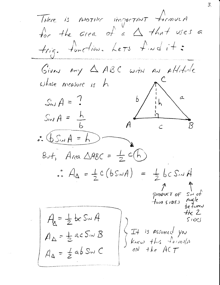THere is MOTHER IMPORTANT formula for the area of  $a \triangle$  that uses a trig. tunction. Let's find it: Given  $\rho_{\gamma}$   $\Delta$  ABC with an Allitude whose measure is h  $\overline{b}$  $S_{w}A = ?$  $S_{N}A =$  $\therefore \underline{\mathbf{b}} \underline{\mathbf{S}} \cdot \underline{\mathbf{A}} = \underline{\mathbf{A}}$ But, Area  $\triangle ABC = \frac{1}{2}c(h)$  $A_{\Delta} = \frac{1}{2}c(bs\omega A) = \frac{1}{2}bcs\omega A$ product of Sid of Two SIDES Angle<br>two SIDES Angle  $+k$  2  $A_{\lambda} = \frac{1}{2}bc$  S<sub>iv</sub> A  $51005$  $A_{\Delta} = \frac{1}{2}$  ac  $S_{\prime\prime\prime}$   $B$ It is assumed you<br>Know this formula<br>on the ACT  $A_{\Delta} = \frac{1}{2} ab S_{11} C$ 

 $\mathcal{Z}_{\cdot}$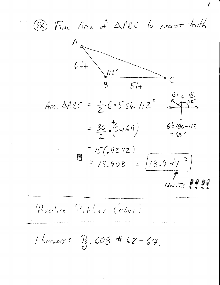@ Find Area of AABC to nearest tenth



Practice Publims (class).

Homewers:  $P_9.608$  # 62-67.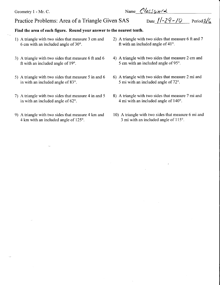Geometry 1 - Mr. C. Name  $\cos \omega$ 

## Practice Problems: Area of a Triangle Given SAS Date  $1/-29-70$  Period 2/6

## Find the area of each figure. Round your answer to the nearest tenth.

- 6 cm with an included angle of  $30^\circ$ .
- 3) A triangle with two sides that measure 6 ft and 6  $-$  4) A triangle with two sides that measure 2 cm and ft with an included angle of  $19^{\circ}$ .
- 5) A triangle with two sides that measure 5 in and 6 6) A triangle with two sides that measure 2 mi and in with an included angle of  $83^{\circ}$ .
- 7) A triangle with two sides that measure 4 in and 5 8) A triangle with two sides that measure 7 mi and in with an included angle of  $62^{\circ}$ .<br>4 mi with an included angle of  $140^{\circ}$ .
- 9) A triangle with two sides that measure 4 km and  $\frac{10}{3}$  A triangle with two sides that measure 6 mi and 4 km with an included angle of 125°.
- 1) A triangle with two sides that measure 3 cm and 2) A triangle with two sides that measure 6 ft and 7 ft with an included angle of  $41^{\circ}$ .
	- 5 cm with an included angle of 95 $^{\circ}$ .
	- 5 mi with an included angle of  $72^\circ$ .
	- 4 mi with an included angle of  $140^\circ$ .
	- $3$  mi with an included angle of  $115^\circ$ .